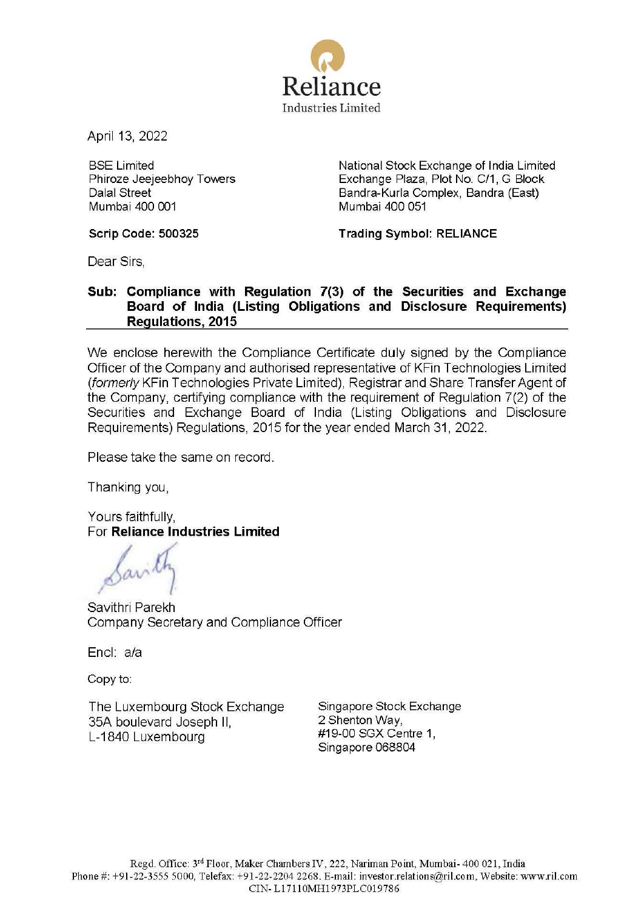

April 13, 2022

BSE Limited Phiroze Jeejeebhoy Towers Dalal Street Mumbai 400 001

National Stock Exchange of India Limited Exchange Plaza, Plot No. C/1, G Block Bandra-Kurla Complex, Bandra (East) Mumbai 400 051

**Scrip Code: 500325** 

**Trading Symbol: RELIANCE** 

Dear Sirs,

## **Sub: Compliance with Regulation 7(3) of the Securities and Exchange Board of India (Listing Obligations and Disclosure Requirements) Regulations, 2015**

We enclose herewith the Compliance Certificate duly signed by the Compliance Officer of the Company and authorised representative of KFin Technologies Limited (formerly KFin Technologies Private Limited), Registrar and Share Transfer Agent of the Company, certifying compliance with the requirement of Regulation 7(2) of the Securities and Exchange Board of India (Listing Obligations and Disclosure Requirements) Regulations, 2015 for the year ended March 31, 2022.

Please take the same on record.

Thanking you,

Yours faithfully, For **Reliance Industries Limited** 

Savithri Parekh Company Secretary and Compliance Officer

Encl: a/a

Copy to:

The Luxembourg Stock Exchange 35A boulevard Joseph 11, L-1840 Luxembourg

Singapore Stock Exchange 2 Shenton Way, #19-00 SGX Centre 1 , Singapore 068804